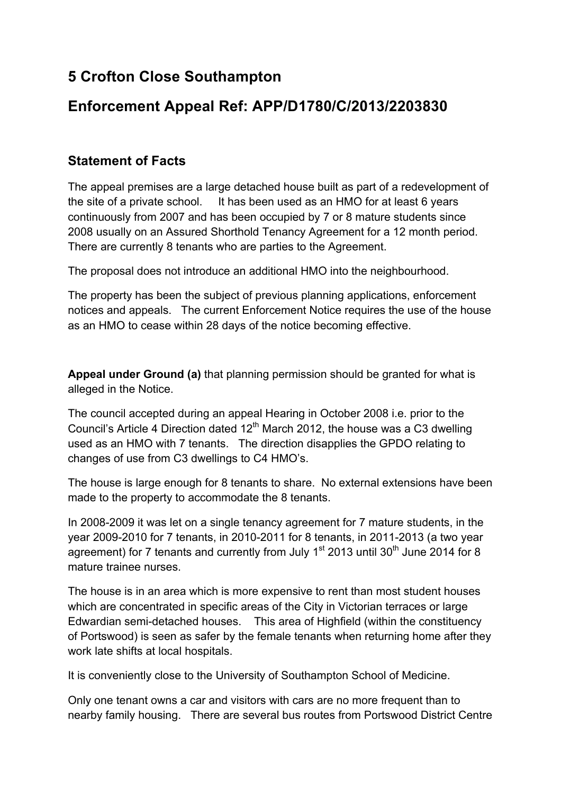## **5 Crofton Close Southampton**

## **Enforcement Appeal Ref: APP/D1780/C/2013/2203830**

## **Statement of Facts**

The appeal premises are a large detached house built as part of a redevelopment of the site of a private school. It has been used as an HMO for at least 6 years continuously from 2007 and has been occupied by 7 or 8 mature students since 2008 usually on an Assured Shorthold Tenancy Agreement for a 12 month period. There are currently 8 tenants who are parties to the Agreement.

The proposal does not introduce an additional HMO into the neighbourhood.

The property has been the subject of previous planning applications, enforcement notices and appeals. The current Enforcement Notice requires the use of the house as an HMO to cease within 28 days of the notice becoming effective.

**Appeal under Ground (a)** that planning permission should be granted for what is alleged in the Notice.

The council accepted during an appeal Hearing in October 2008 i.e. prior to the Council's Article 4 Direction dated  $12<sup>th</sup>$  March 2012, the house was a C3 dwelling used as an HMO with 7 tenants. The direction disapplies the GPDO relating to changes of use from C3 dwellings to C4 HMO's.

The house is large enough for 8 tenants to share. No external extensions have been made to the property to accommodate the 8 tenants.

In 2008-2009 it was let on a single tenancy agreement for 7 mature students, in the year 2009-2010 for 7 tenants, in 2010-2011 for 8 tenants, in 2011-2013 (a two year agreement) for 7 tenants and currently from July 1<sup>st</sup> 2013 until 30<sup>th</sup> June 2014 for 8 mature trainee nurses.

The house is in an area which is more expensive to rent than most student houses which are concentrated in specific areas of the City in Victorian terraces or large Edwardian semi-detached houses. This area of Highfield (within the constituency of Portswood) is seen as safer by the female tenants when returning home after they work late shifts at local hospitals.

It is conveniently close to the University of Southampton School of Medicine.

Only one tenant owns a car and visitors with cars are no more frequent than to nearby family housing. There are several bus routes from Portswood District Centre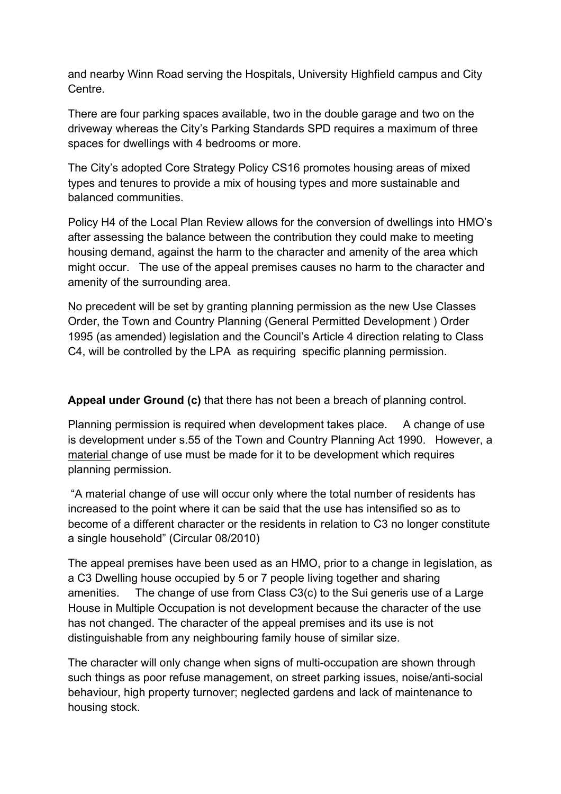and nearby Winn Road serving the Hospitals, University Highfield campus and City Centre.

There are four parking spaces available, two in the double garage and two on the driveway whereas the City's Parking Standards SPD requires a maximum of three spaces for dwellings with 4 bedrooms or more.

The City's adopted Core Strategy Policy CS16 promotes housing areas of mixed types and tenures to provide a mix of housing types and more sustainable and balanced communities.

Policy H4 of the Local Plan Review allows for the conversion of dwellings into HMO's after assessing the balance between the contribution they could make to meeting housing demand, against the harm to the character and amenity of the area which might occur. The use of the appeal premises causes no harm to the character and amenity of the surrounding area.

No precedent will be set by granting planning permission as the new Use Classes Order, the Town and Country Planning (General Permitted Development ) Order 1995 (as amended) legislation and the Council's Article 4 direction relating to Class C4, will be controlled by the LPA as requiring specific planning permission.

**Appeal under Ground (c)** that there has not been a breach of planning control.

Planning permission is required when development takes place. A change of use is development under s.55 of the Town and Country Planning Act 1990. However, a material change of use must be made for it to be development which requires planning permission.

"A material change of use will occur only where the total number of residents has increased to the point where it can be said that the use has intensified so as to become of a different character or the residents in relation to C3 no longer constitute a single household" (Circular 08/2010)

The appeal premises have been used as an HMO, prior to a change in legislation, as a C3 Dwelling house occupied by 5 or 7 people living together and sharing amenities. The change of use from Class C3(c) to the Sui generis use of a Large House in Multiple Occupation is not development because the character of the use has not changed. The character of the appeal premises and its use is not distinguishable from any neighbouring family house of similar size.

The character will only change when signs of multi-occupation are shown through such things as poor refuse management, on street parking issues, noise/anti-social behaviour, high property turnover; neglected gardens and lack of maintenance to housing stock.